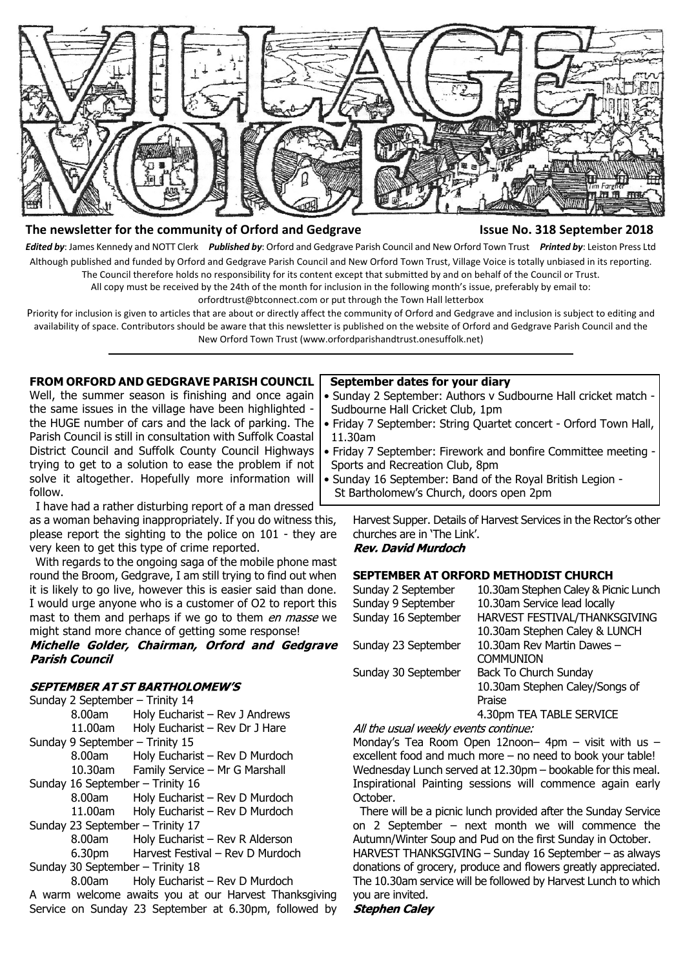

#### **The newsletter for the community of Orford and Gedgrave Issue No. 318 September 2018**

*Edited by*: James Kennedy and NOTT Clerk *Published by*: Orford and Gedgrave Parish Council and New Orford Town Trust *Printed by*: Leiston Press Ltd Although published and funded by Orford and Gedgrave Parish Council and New Orford Town Trust, Village Voice is totally unbiased in its reporting. The Council therefore holds no responsibility for its content except that submitted by and on behalf of the Council or Trust.

> All copy must be received by the 24th of the month for inclusion in the following month's issue, preferably by email to: orfordtrust@btconnect.com or put through the Town Hall letterbox

Priority for inclusion is given to articles that are about or directly affect the community of Orford and Gedgrave and inclusion is subject to editing and availability of space. Contributors should be aware that this newsletter is published on the website of Orford and Gedgrave Parish Council and the New Orford Town Trust (www.orfordparishandtrust.onesuffolk.net)

#### **FROM ORFORD AND GEDGRAVE PARISH COUNCIL**

Well, the summer season is finishing and once again the same issues in the village have been highlighted the HUGE number of cars and the lack of parking. The Parish Council is still in consultation with Suffolk Coastal District Council and Suffolk County Council Highways trying to get to a solution to ease the problem if not solve it altogether. Hopefully more information will follow.

 I have had a rather disturbing report of a man dressed as a woman behaving inappropriately. If you do witness this, please report the sighting to the police on 101 - they are very keen to get this type of crime reported.

 With regards to the ongoing saga of the mobile phone mast round the Broom, Gedgrave, I am still trying to find out when it is likely to go live, however this is easier said than done. I would urge anyone who is a customer of O2 to report this mast to them and perhaps if we go to them en masse we might stand more chance of getting some response!

Michelle Golder, Chairman, Orford and Gedgrave **Parish Council** 

#### **SEPTEMBER AT ST BARTHOLOMEW'S**

| Sunday 2 September - Trinity 14  |                                                |
|----------------------------------|------------------------------------------------|
| 8.00am                           | Holy Eucharist - Rev J Andrews                 |
| 11.00am                          | Holy Eucharist - Rev Dr J Hare                 |
| Sunday 9 September - Trinity 15  |                                                |
| 8.00am                           | Holy Eucharist - Rev D Murdoch                 |
| 10.30am                          | Family Service - Mr G Marshall                 |
| Sunday 16 September - Trinity 16 |                                                |
| 8.00am                           | Holy Eucharist - Rev D Murdoch                 |
| 11.00am                          | Holy Eucharist - Rev D Murdoch                 |
| Sunday 23 September - Trinity 17 |                                                |
| 8.00am                           | Holy Eucharist - Rev R Alderson                |
| 6.30pm                           | Harvest Festival - Rev D Murdoch               |
| Sunday 30 September - Trinity 18 |                                                |
| 8.00am                           | Holy Eucharist - Rev D Murdoch                 |
|                                  | A warm welcome awaite you at our Hanvest Thank |

A warm welcome awaits you at our Harvest Thanksgiving Service on Sunday 23 September at 6.30pm, followed by

#### **September dates for your diary**

- Sunday 2 September: Authors v Sudbourne Hall cricket match Sudbourne Hall Cricket Club, 1pm
- Friday 7 September: String Quartet concert Orford Town Hall, 11.30am
- Friday 7 September: Firework and bonfire Committee meeting Sports and Recreation Club, 8pm
- Sunday 16 September: Band of the Royal British Legion St Bartholomew's Church, doors open 2pm

Harvest Supper. Details of Harvest Services in the Rector's other churches are in 'The Link'.<br>Rev. David Murdoch

#### **SEPTEMBER AT ORFORD METHODIST CHURCH**

All the usual weekly events continue:

Monday's Tea Room Open 12noon– 4pm – visit with us – excellent food and much more – no need to book your table! Wednesday Lunch served at 12.30pm – bookable for this meal. Inspirational Painting sessions will commence again early October.

 There will be a picnic lunch provided after the Sunday Service on 2 September – next month we will commence the Autumn/Winter Soup and Pud on the first Sunday in October. HARVEST THANKSGIVING – Sunday 16 September – as always donations of grocery, produce and flowers greatly appreciated. The 10.30am service will be followed by Harvest Lunch to which you are invited.

**Stephen Caley**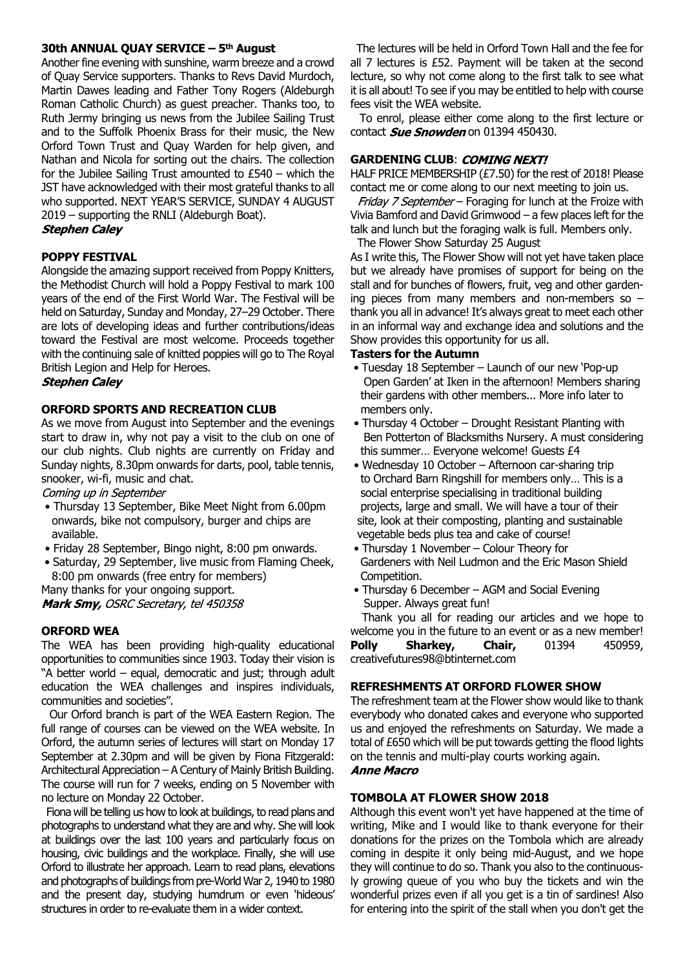## **30th ANNUAL QUAY SERVICE – 5th August**

Another fine evening with sunshine, warm breeze and a crowd of Quay Service supporters. Thanks to Revs David Murdoch, Martin Dawes leading and Father Tony Rogers (Aldeburgh Roman Catholic Church) as guest preacher. Thanks too, to Ruth Jermy bringing us news from the Jubilee Sailing Trust and to the Suffolk Phoenix Brass for their music, the New Orford Town Trust and Quay Warden for help given, and Nathan and Nicola for sorting out the chairs. The collection for the Jubilee Sailing Trust amounted to £540 – which the JST have acknowledged with their most grateful thanks to all who supported. NEXT YEAR'S SERVICE, SUNDAY 4 AUGUST 2019 – supporting the RNLI (Aldeburgh Boat).

## **Stephen Caley**

## **POPPY FESTIVAL**

Alongside the amazing support received from Poppy Knitters, the Methodist Church will hold a Poppy Festival to mark 100 years of the end of the First World War. The Festival will be held on Saturday, Sunday and Monday, 27–29 October. There are lots of developing ideas and further contributions/ideas toward the Festival are most welcome. Proceeds together with the continuing sale of knitted poppies will go to The Royal British Legion and Help for Heroes.

#### **Stephen Caley**

### **ORFORD SPORTS AND RECREATION CLUB**

As we move from August into September and the evenings start to draw in, why not pay a visit to the club on one of our club nights. Club nights are currently on Friday and Sunday nights, 8.30pm onwards for darts, pool, table tennis, snooker, wi-fi, music and chat.

Coming up in September

- Thursday 13 September, Bike Meet Night from 6.00pm onwards, bike not compulsory, burger and chips are available.
- Friday 28 September, Bingo night, 8:00 pm onwards.
- Saturday, 29 September, live music from Flaming Cheek, 8:00 pm onwards (free entry for members)

Many thanks for your ongoing support. Mark Smy, OSRC Secretary, tel 450358

# **ORFORD WEA**

The WEA has been providing high-quality educational opportunities to communities since 1903. Today their vision is "A better world – equal, democratic and just; through adult education the WEA challenges and inspires individuals, communities and societies".

 Our Orford branch is part of the WEA Eastern Region. The full range of courses can be viewed on the WEA website. In Orford, the autumn series of lectures will start on Monday 17 September at 2.30pm and will be given by Fiona Fitzgerald: Architectural Appreciation – A Century of Mainly British Building. The course will run for 7 weeks, ending on 5 November with no lecture on Monday 22 October.

 Fiona will be telling us how to look at buildings, to read plans and photographs to understand what they are and why. She will look at buildings over the last 100 years and particularly focus on housing, civic buildings and the workplace. Finally, she will use Orford to illustrate her approach. Learn to read plans, elevations and photographs of buildings from pre-World War 2, 1940 to 1980 and the present day, studying humdrum or even 'hideous' structures in order to re-evaluate them in a wider context.

 The lectures will be held in Orford Town Hall and the fee for all 7 lectures is £52. Payment will be taken at the second lecture, so why not come along to the first talk to see what it is all about! To see if you may be entitled to help with course fees visit the WEA website.

 To enrol, please either come along to the first lecture or contact **Sue Snowden** on 01394 450430.

# **GARDENING CLUB: COMING NEXT!**

HALF PRICE MEMBERSHIP (£7.50) for the rest of 2018! Please contact me or come along to our next meeting to join us.

Friday 7 September - Foraging for lunch at the Froize with Vivia Bamford and David Grimwood – a few places left for the talk and lunch but the foraging walk is full. Members only. The Flower Show Saturday 25 August

As I write this, The Flower Show will not yet have taken place but we already have promises of support for being on the stall and for bunches of flowers, fruit, veg and other gardening pieces from many members and non-members so  $$ thank you all in advance! It's always great to meet each other in an informal way and exchange idea and solutions and the Show provides this opportunity for us all.

#### **Tasters for the Autumn**

- Tuesday 18 September Launch of our new 'Pop-up Open Garden' at Iken in the afternoon! Members sharing their gardens with other members... More info later to members only.
- Thursday 4 October Drought Resistant Planting with Ben Potterton of Blacksmiths Nursery. A must considering this summer… Everyone welcome! Guests £4
- Wednesday 10 October Afternoon car-sharing trip to Orchard Barn Ringshill for members only… This is a social enterprise specialising in traditional building projects, large and small. We will have a tour of their site, look at their composting, planting and sustainable vegetable beds plus tea and cake of course!
- Thursday 1 November Colour Theory for Gardeners with Neil Ludmon and the Eric Mason Shield Competition.
- Thursday 6 December AGM and Social Evening Supper. Always great fun!

 Thank you all for reading our articles and we hope to welcome you in the future to an event or as a new member! **Polly Sharkey, Chair,** 01394 450959, creativefutures98@btinternet.com

# **REFRESHMENTS AT ORFORD FLOWER SHOW**

The refreshment team at the Flower show would like to thank everybody who donated cakes and everyone who supported us and enjoyed the refreshments on Saturday. We made a total of £650 which will be put towards getting the flood lights on the tennis and multi-play courts working again. **Anne Macro** 

# **TOMBOLA AT FLOWER SHOW 2018**

Although this event won't yet have happened at the time of writing, Mike and I would like to thank everyone for their donations for the prizes on the Tombola which are already coming in despite it only being mid-August, and we hope they will continue to do so. Thank you also to the continuously growing queue of you who buy the tickets and win the wonderful prizes even if all you get is a tin of sardines! Also for entering into the spirit of the stall when you don't get the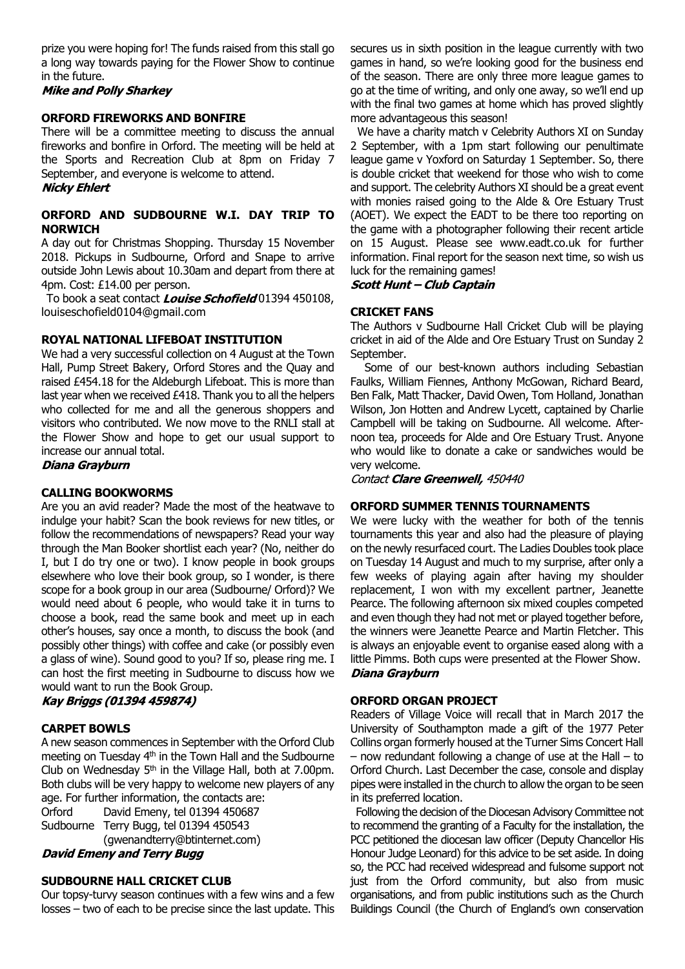prize you were hoping for! The funds raised from this stall go a long way towards paying for the Flower Show to continue in the future.

**Mike and Polly Sharkey** 

## **ORFORD FIREWORKS AND BONFIRE**

There will be a committee meeting to discuss the annual fireworks and bonfire in Orford. The meeting will be held at the Sports and Recreation Club at 8pm on Friday 7 September, and everyone is welcome to attend. **Nicky Ehlert** 

## **ORFORD AND SUDBOURNE W.I. DAY TRIP TO NORWICH**

A day out for Christmas Shopping. Thursday 15 November 2018. Pickups in Sudbourne, Orford and Snape to arrive outside John Lewis about 10.30am and depart from there at 4pm. Cost: £14.00 per person.

To book a seat contact **Louise Schofield** 01394 450108, louiseschofield0104@gmail.com

### **ROYAL NATIONAL LIFEBOAT INSTITUTION**

We had a very successful collection on 4 August at the Town Hall, Pump Street Bakery, Orford Stores and the Quay and raised £454.18 for the Aldeburgh Lifeboat. This is more than last year when we received £418. Thank you to all the helpers who collected for me and all the generous shoppers and visitors who contributed. We now move to the RNLI stall at the Flower Show and hope to get our usual support to increase our annual total.

Diana Grayburn

# **CALLING BOOKWORMS**

Are you an avid reader? Made the most of the heatwave to indulge your habit? Scan the book reviews for new titles, or follow the recommendations of newspapers? Read your way through the Man Booker shortlist each year? (No, neither do I, but I do try one or two). I know people in book groups elsewhere who love their book group, so I wonder, is there scope for a book group in our area (Sudbourne/ Orford)? We would need about 6 people, who would take it in turns to choose a book, read the same book and meet up in each other's houses, say once a month, to discuss the book (and possibly other things) with coffee and cake (or possibly even a glass of wine). Sound good to you? If so, please ring me. I can host the first meeting in Sudbourne to discuss how we would want to run the Book Group.

#### Kay Briggs (01394 459874)

# **CARPET BOWLS**

A new season commences in September with the Orford Club meeting on Tuesday 4th in the Town Hall and the Sudbourne Club on Wednesday  $5<sup>th</sup>$  in the Village Hall, both at 7.00pm. Both clubs will be very happy to welcome new players of any age. For further information, the contacts are:

Orford David Emeny, tel 01394 450687 Sudbourne Terry Bugg, tel 01394 450543 (gwenandterry@btinternet.com)

**David Emeny and Terry Bugg** 

# **SUDBOURNE HALL CRICKET CLUB**

Our topsy-turvy season continues with a few wins and a few losses – two of each to be precise since the last update. This secures us in sixth position in the league currently with two games in hand, so we're looking good for the business end of the season. There are only three more league games to go at the time of writing, and only one away, so we'll end up with the final two games at home which has proved slightly more advantageous this season!

 We have a charity match v Celebrity Authors XI on Sunday 2 September, with a 1pm start following our penultimate league game v Yoxford on Saturday 1 September. So, there is double cricket that weekend for those who wish to come and support. The celebrity Authors XI should be a great event with monies raised going to the Alde & Ore Estuary Trust (AOET). We expect the EADT to be there too reporting on the game with a photographer following their recent article on 15 August. Please see www.eadt.co.uk for further information. Final report for the season next time, so wish us luck for the remaining games!

**Scott Hunt - Club Captain** 

# **CRICKET FANS**

The Authors v Sudbourne Hall Cricket Club will be playing cricket in aid of the Alde and Ore Estuary Trust on Sunday 2 September.

 Some of our best-known authors including Sebastian Faulks, William Fiennes, Anthony McGowan, Richard Beard, Ben Falk, Matt Thacker, David Owen, Tom Holland, Jonathan Wilson, Jon Hotten and Andrew Lycett, captained by Charlie Campbell will be taking on Sudbourne. All welcome. Afternoon tea, proceeds for Alde and Ore Estuary Trust. Anyone who would like to donate a cake or sandwiches would be very welcome.

Contact Clare Greenwell, 450440

# **ORFORD SUMMER TENNIS TOURNAMENTS**

We were lucky with the weather for both of the tennis tournaments this year and also had the pleasure of playing on the newly resurfaced court. The Ladies Doubles took place on Tuesday 14 August and much to my surprise, after only a few weeks of playing again after having my shoulder replacement, I won with my excellent partner, Jeanette Pearce. The following afternoon six mixed couples competed and even though they had not met or played together before, the winners were Jeanette Pearce and Martin Fletcher. This is always an enjoyable event to organise eased along with a little Pimms. Both cups were presented at the Flower Show. Diana Grayburn

#### **ORFORD ORGAN PROJECT**

Readers of Village Voice will recall that in March 2017 the University of Southampton made a gift of the 1977 Peter Collins organ formerly housed at the Turner Sims Concert Hall – now redundant following a change of use at the Hall – to Orford Church. Last December the case, console and display pipes were installed in the church to allow the organ to be seen in its preferred location.

 Following the decision of the Diocesan Advisory Committee not to recommend the granting of a Faculty for the installation, the PCC petitioned the diocesan law officer (Deputy Chancellor His Honour Judge Leonard) for this advice to be set aside. In doing so, the PCC had received widespread and fulsome support not just from the Orford community, but also from music organisations, and from public institutions such as the Church Buildings Council (the Church of England's own conservation